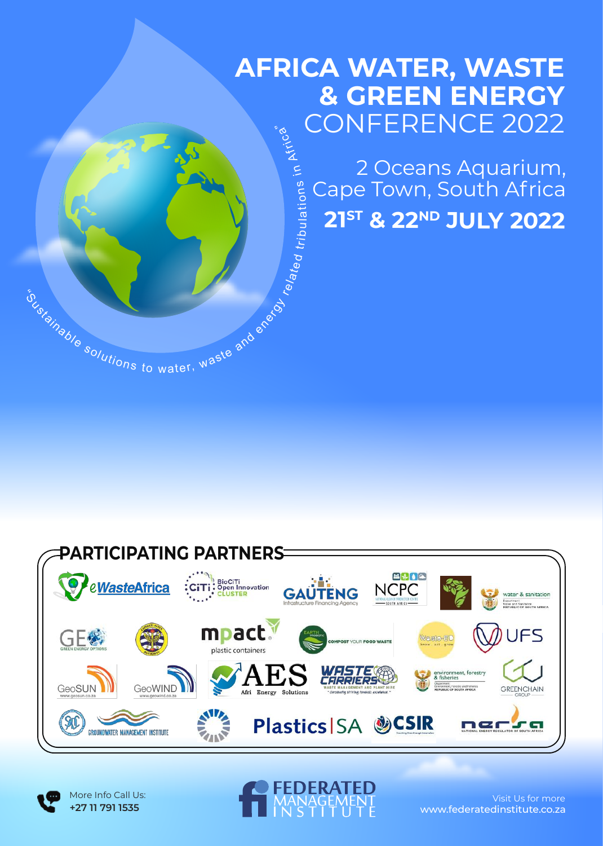### **AFRICA WATER, WASTE & GREEN ENERGY** CONFERENCE 2022 Africa"

2 Oceans Aquarium, Cape Town, South Africa **<sup>21</sup>ST & <sup>22</sup>ND JULY 2022** relate d trib ulatio n s in



istainable solutions to water, waste and energy

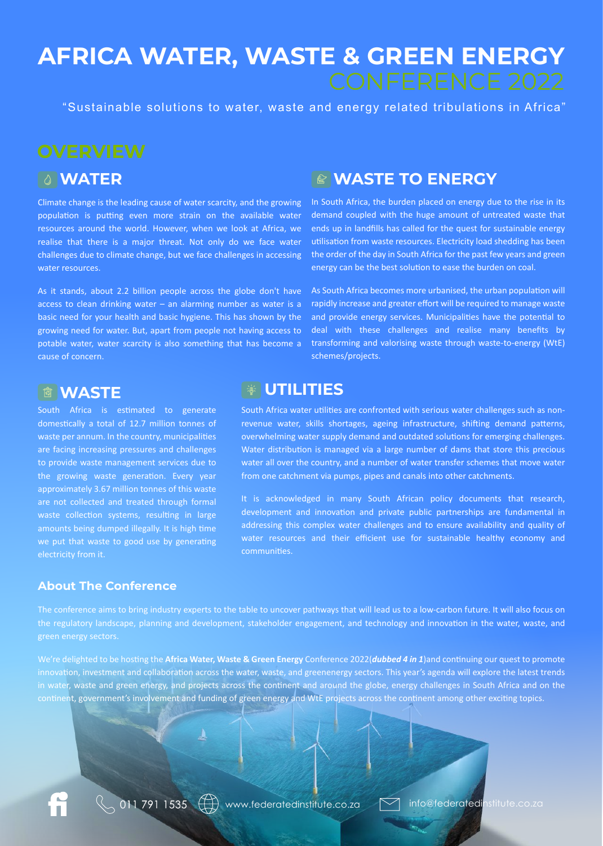# **AFRICA WATER, WASTE & GREEN ENERGY**

"Sustainable solutions to water, waste and energy related tribulations in Africa"

**WATER**

Climate change is the leading cause of water scarcity, and the growing population is putting even more strain on the available water resources around the world. However, when we look at Africa, we realise that there is a major threat. Not only do we face water challenges due to climate change, but we face challenges in accessing water resources.

As it stands, about 2.2 billion people across the globe don't have access to clean drinking water  $-$  an alarming number as water is a basic need for your health and basic hygiene. This has shown by the growing need for water. But, apart from people not having access to potable water, water scarcity is also something that has become a cause of concern.

### **WASTE**

South Africa is estimated to generate domestically a total of 12.7 million tonnes of waste per annum. In the country, municipalities are facing increasing pressures and challenges to provide waste management services due to the growing waste generation. Every year approximately 3.67 million tonnes of this waste are not collected and treated through formal waste collection systems, resulting in large amounts being dumped illegally. It is high time we put that waste to good use by generating electricity from it.

### **About The Conference**

### **WASTE TO ENERGY**

In South Africa, the burden placed on energy due to the rise in its demand coupled with the huge amount of untreated waste that ends up in landfills has called for the quest for sustainable energy utilisation from waste resources. Electricity load shedding has been the order of the day in South Africa for the past few years and green energy can be the best solution to ease the burden on coal.

As South Africa becomes more urbanised, the urban population will rapidly increase and greater effort will be required to manage waste and provide energy services. Municipalities have the potential to deal with these challenges and realise many benefits by transforming and valorising waste through waste-to-energy (WtE) schemes/projects.

### **UTILITIES**

South Africa water utilities are confronted with serious water challenges such as nonrevenue water, skills shortages, ageing infrastructure, shifting demand patterns, overwhelming water supply demand and outdated solutions for emerging challenges. Water distribution is managed via a large number of dams that store this precious water all over the country, and a number of water transfer schemes that move water from one catchment via pumps, pipes and canals into other catchments.

It is acknowledged in many South African policy documents that research, development and innovation and private public partnerships are fundamental in addressing this complex water challenges and to ensure availability and quality of water resources and their efficient use for sustainable healthy economy and communities.

The conference aims to bring industry experts to the table to uncover pathways that will lead us to a low-carbon future. It will also focus on the regulatory landscape, planning and development, stakeholder engagement, and technology and innovation in the water, waste, and green energy sectors.

We're delighted to be hosting the Africa Water, Waste & Green Energy Conference 2022(*dubbed 4 in 1*)and continuing our quest to promote innovation, investment and collaboration across the water, waste, and greenenergy sectors. This year's agenda will explore the latest trends in water, waste and green energy, and projects across the continent and around the globe, energy challenges in South Africa and on the continent, government's involvement and funding of green energy and WtE projects across the continent among other exciting topics.

 $\mathbb{Q}$  011 791 1535  $\bigoplus$  www.federatedinstitute.co.za  $\Box$  info@federatedinstitute.co.za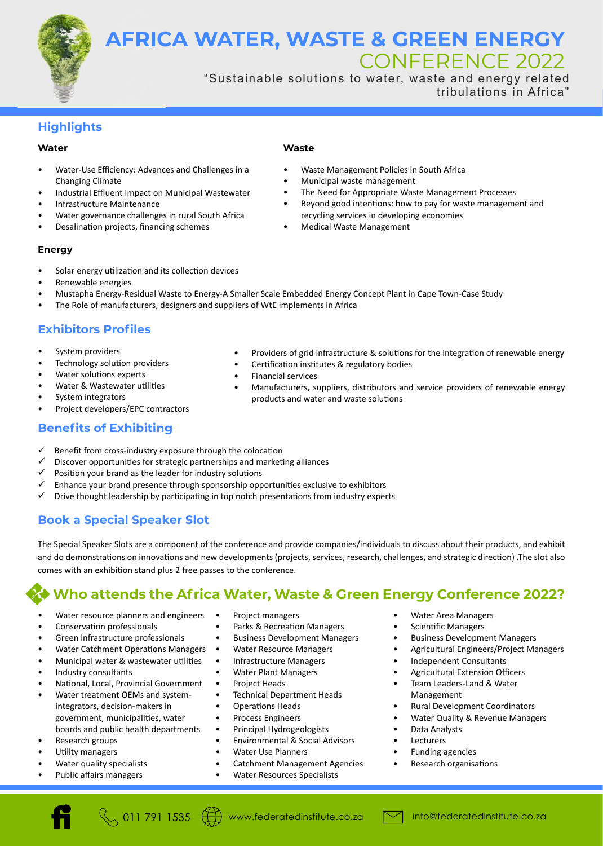**AFRICA WATER, WASTE & GREEN ENERGY** CONFERENCE 2022

> "Sustainable solutions to water, waste and energy related tribulations in Africa"

### **Highlights**

### **Water**

- Water-Use Efficiency: Advances and Challenges in a Changing Climate
- Industrial Effluent Impact on Municipal Wastewater
- Infrastructure Maintenance
- Water governance challenges in rural South Africa
- Desalination projects, financing schemes

### **Waste**

- Waste Management Policies in South Africa
- Municipal waste management
- The Need for Appropriate Waste Management Processes
- Beyond good intentions: how to pay for waste management and recycling services in developing economies

Providers of grid infrastructure & solutions for the integration of renewable energy

• Manufacturers, suppliers, distributors and service providers of renewable energy

• Medical Waste Management

Certification institutes & regulatory bodies

products and water and waste solutions

### **Energy**

- Solar energy utilization and its collection devices
- Renewable energies
- Mustapha Energy-Residual Waste to Energy-A Smaller Scale Embedded Energy Concept Plant in Cape Town-Case Study

• Financial services

The Role of manufacturers, designers and suppliers of WtE implements in Africa

### **Exhibitors Profiles**

- System providers
- Technology solution providers
- Water solutions experts
- Water & Wastewater utilities
- System integrators
- Project developers/EPC contractors

### **Benefits of Exhibiting**

- $\checkmark$  Benefit from cross-industry exposure through the colocation
- $\checkmark$  Discover opportunities for strategic partnerships and marketing alliances
- $\checkmark$  Position your brand as the leader for industry solutions
- Enhance your brand presence through sponsorship opportunities exclusive to exhibitors
- Drive thought leadership by participating in top notch presentations from industry experts

### **Book a Special Speaker Slot**

The Special Speaker Slots are a component of the conference and provide companies/individuals to discuss about their products, and exhibit and do demonstrations on innovations and new developments (projects, services, research, challenges, and strategic direction) .The slot also comes with an exhibition stand plus 2 free passes to the conference.

### **Who attends the Africa Water, Waste & Green Energy Conference 2022?**

- Water resource planners and engineers
- Conservation professionals
- Green infrastructure professionals
- Water Catchment Operations Managers
- Municipal water & wastewater utilities
- Industry consultants
- National, Local, Provincial Government
- Water treatment OEMs and systemintegrators, decision-makers in government, municipali�es, water boards and public health departments
- Research groups
- Utility managers
- Water quality specialists
- Public affairs managers
- Project managers
- Parks & Recreation Managers
- Business Development Managers
- Water Resource Managers
- Infrastructure Managers
- Water Plant Managers
- Project Heads
- Technical Department Heads
- Operations Heads
- Process Engineers
- Principal Hydrogeologists
- Environmental & Social Advisors
- Water Use Planners
- Catchment Management Agencies
- Water Resources Specialists
- Water Area Managers
- Scientific Managers
- Business Development Managers
- Agricultural Engineers/Project Managers
- Independent Consultants
- Agricultural Extension Officers
- Team Leaders-Land & Water Management
- Rural Development Coordinators
- Water Quality & Revenue Managers
- Data Analysts
- **Lecturers**
- Funding agencies
- Research organisations

 $\bigotimes$  011 791 1535  $\bigoplus$  www.federatedinstitute.co.za  $\bigotimes$  info@federatedinstitute.co.za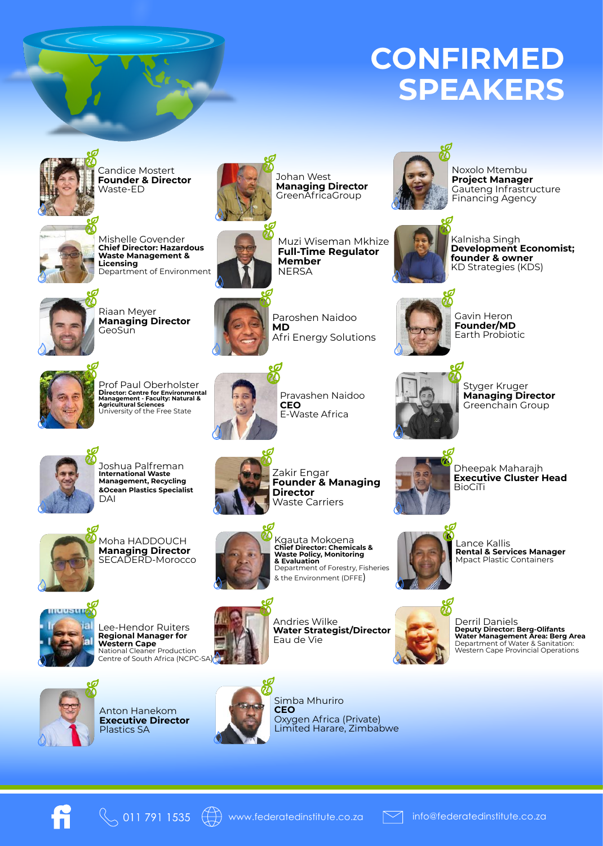## **CONFIRMED SPEAKERS**

eØ



Candice Mostert **Founder & Director** Waste-ED



Mishelle Govender **Chief Director: Hazardous Waste Management & Licensing** Department of Environment



Johan West **Managing Director** GreenAfricaGroup

**Member NERSA** 



Noxolo Mtembu **Project Manager** Gauteng Infrastructure Financing Agency



Kalnisha Singh **Development Economist; founder & owner** KD Strategies (KDS)



Riaan Meyer **Managing Director GeoSun** 



Paroshen Naidoo **MD** Afri Energy Solutions

Gavin Heron **Founder/MD** Earth Probiotic



Prof Paul Oberholster **Director: Centre for Environmental Management - Faculty: Natural & Agricultural Sciences** University of the Free State



Pravashen Naidoo **CEO** E-Waste Africa

 $\mathbf{c}$ 

Styger Kruger **Managing Director** Greenchain Group

Dheepak Maharajh **Executive Cluster Head**

**BioCiTi** 



Joshua Palfreman **International Waste Management, Recycling &Ocean Plastics Specialist** DAI



Moha HADDOUCH **Managing Director** SECADERD-Morocco



Zakir Engar **Founder & Managing Director** Waste Carriers



Kgauta Mokoena **Chief Director: Chemicals & Waste Policy, Monitoring & Evaluation** Department of Forestry, Fisheries & the Environment (DFFE)

Andries Wilke

Eau de Vie



Lee-Hendor Ruiters **Regional Manager for Western Cape** National Cleaner Production Centre of South Africa (NCPC-SA)



Anton Hanekom **Executive Director** Plastics SA



Simba Mhuriro **CEO** Oxygen Africa (Private) Limited Harare, Zimbabwe



Lance Kallis **Rental & Services Manager** Mpact Plastic Containers



De**rril Daniels<br><b>Deputy Director: Berg-Olifants**<br>**Water Management Area: Berg Area**<br>Department of Water & Sanitation:<br>Western Cape Provincial Operations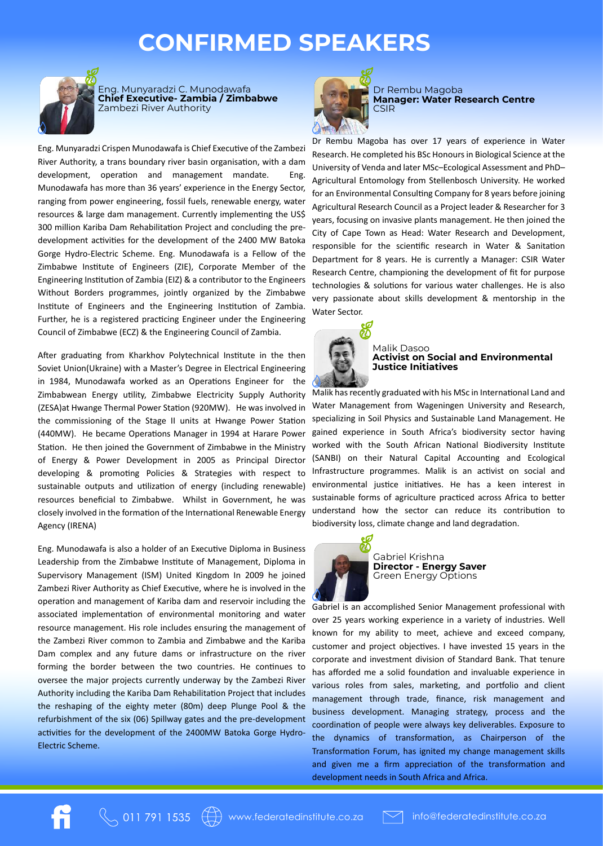### **CONFIRMED SPEAKERS**



Eng. Munyaradzi C. Munodawafa **Chief Executive- Zambia / Zimbabwe** Zambezi River Authority

Eng. Munyaradzi Crispen Munodawafa is Chief Executive of the Zambezi River Authority, a trans boundary river basin organisation, with a dam development, operation and management mandate. Eng. Munodawafa has more than 36 years' experience in the Energy Sector, ranging from power engineering, fossil fuels, renewable energy, water resources & large dam management. Currently implementing the US\$ 300 million Kariba Dam Rehabilitation Project and concluding the predevelopment activities for the development of the 2400 MW Batoka Gorge Hydro-Electric Scheme. Eng. Munodawafa is a Fellow of the Zimbabwe Institute of Engineers (ZIE), Corporate Member of the Engineering Institution of Zambia (EIZ) & a contributor to the Engineers Without Borders programmes, jointly organized by the Zimbabwe Institute of Engineers and the Engineering Institution of Zambia. Further, he is a registered practicing Engineer under the Engineering Council of Zimbabwe (ECZ) & the Engineering Council of Zambia.

After graduating from Kharkhov Polytechnical Institute in the then Soviet Union(Ukraine) with a Master's Degree in Electrical Engineering in 1984, Munodawafa worked as an Operations Engineer for the Zimbabwean Energy utility, Zimbabwe Electricity Supply Authority (ZESA)at Hwange Thermal Power Station (920MW). He was involved in the commissioning of the Stage II units at Hwange Power Station (440MW). He became Operations Manager in 1994 at Harare Power Station. He then joined the Government of Zimbabwe in the Ministry of Energy & Power Development in 2005 as Principal Director developing & promoting Policies & Strategies with respect to sustainable outputs and utilization of energy (including renewable) resources beneficial to Zimbabwe. Whilst in Government, he was closely involved in the formation of the International Renewable Energy Agency (IRENA)

Eng. Munodawafa is also a holder of an Execu�ve Diploma in Business Leadership from the Zimbabwe Institute of Management, Diploma in Supervisory Management (ISM) United Kingdom In 2009 he joined Zambezi River Authority as Chief Executive, where he is involved in the operation and management of Kariba dam and reservoir including the associated implementation of environmental monitoring and water resource management. His role includes ensuring the management of the Zambezi River common to Zambia and Zimbabwe and the Kariba Dam complex and any future dams or infrastructure on the river forming the border between the two countries. He continues to oversee the major projects currently underway by the Zambezi River Authority including the Kariba Dam Rehabilitation Project that includes the reshaping of the eighty meter (80m) deep Plunge Pool & the refurbishment of the six (06) Spillway gates and the pre-development activities for the development of the 2400MW Batoka Gorge Hydro-Electric Scheme.



Dr Rembu Magoba **Manager: Water Research Centre** CSIR

Dr Rembu Magoba has over 17 years of experience in Water Research. He completed his BSc Honours in Biological Science at the University of Venda and later MSc–Ecological Assessment and PhD– Agricultural Entomology from Stellenbosch University. He worked for an Environmental Consulting Company for 8 years before joining Agricultural Research Council as a Project leader & Researcher for 3 years, focusing on invasive plants management. He then joined the City of Cape Town as Head: Water Research and Development, responsible for the scientific research in Water & Sanitation Department for 8 years. He is currently a Manager: CSIR Water Research Centre, championing the development of fit for purpose technologies & solutions for various water challenges. He is also very passionate about skills development & mentorship in the Water Sector.



#### Malik Dasoo **Activist on Social and Environmental Justice Initiatives**

Malik has recently graduated with his MSc in International Land and Water Management from Wageningen University and Research, specializing in Soil Physics and Sustainable Land Management. He gained experience in South Africa's biodiversity sector having worked with the South African National Biodiversity Institute (SANBI) on their Natural Capital Accounting and Ecological Infrastructure programmes. Malik is an activist on social and environmental justice initiatives. He has a keen interest in sustainable forms of agriculture practiced across Africa to better understand how the sector can reduce its contribution to biodiversity loss, climate change and land degradation.



Gabriel Krishna **Director - Energy Saver** Green Energy Options

Gabriel is an accomplished Senior Management professional with over 25 years working experience in a variety of industries. Well known for my ability to meet, achieve and exceed company, customer and project objectives. I have invested 15 years in the corporate and investment division of Standard Bank. That tenure has afforded me a solid foundation and invaluable experience in various roles from sales, marketing, and portfolio and client management through trade, finance, risk management and business development. Managing strategy, process and the coordination of people were always key deliverables. Exposure to the dynamics of transformation, as Chairperson of the Transformation Forum, has ignited my change management skills and given me a firm appreciation of the transformation and development needs in South Africa and Africa.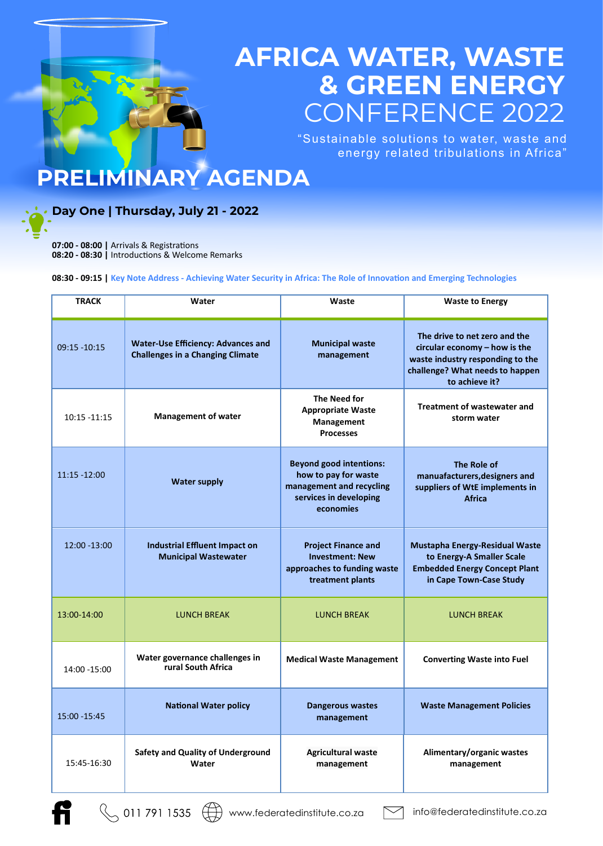## **AFRICA WATER, WASTE & GREEN ENERGY** CONFERENCE 2022

"Sustainable solutions to water, waste and energy related tribulations in Africa"

## **PRELIMINARY AGENDA**

### **Day One | Thursday, July 21 - 2022**

**07:00 - 08:00 | Arrivals & Registrations** 08:20 - 08:30 | Introductions & Welcome Remarks

**08:30 - 09:15 | Key Note Address - Achieving Water Security in Africa: The Role of Innovation and Emerging Technologies** 

| <b>TRACK</b>    | Water                                                                                | Waste                                                                                                                     | <b>Waste to Energy</b>                                                                                                                                  |  |
|-----------------|--------------------------------------------------------------------------------------|---------------------------------------------------------------------------------------------------------------------------|---------------------------------------------------------------------------------------------------------------------------------------------------------|--|
| $09:15 - 10:15$ | <b>Water-Use Efficiency: Advances and</b><br><b>Challenges in a Changing Climate</b> | <b>Municipal waste</b><br>management                                                                                      | The drive to net zero and the<br>circular economy - how is the<br>waste industry responding to the<br>challenge? What needs to happen<br>to achieve it? |  |
| $10:15 - 11:15$ | <b>Management of water</b>                                                           | The Need for<br><b>Appropriate Waste</b><br>Management<br><b>Processes</b>                                                | Treatment of wastewater and<br>storm water                                                                                                              |  |
| $11:15 - 12:00$ | <b>Water supply</b>                                                                  | <b>Beyond good intentions:</b><br>how to pay for waste<br>management and recycling<br>services in developing<br>economies | The Role of<br>manuafacturers, designers and<br>suppliers of WtE implements in<br><b>Africa</b>                                                         |  |
| $12:00 - 13:00$ | <b>Industrial Effluent Impact on</b><br><b>Municipal Wastewater</b>                  | <b>Project Finance and</b><br><b>Investment: New</b><br>approaches to funding waste<br>treatment plants                   | <b>Mustapha Energy-Residual Waste</b><br>to Energy-A Smaller Scale<br><b>Embedded Energy Concept Plant</b><br>in Cape Town-Case Study                   |  |
| 13:00-14:00     | <b>LUNCH BREAK</b>                                                                   | <b>LUNCH BREAK</b>                                                                                                        | <b>LUNCH BREAK</b>                                                                                                                                      |  |
| 14:00 -15:00    | Water governance challenges in<br>rural South Africa                                 | <b>Medical Waste Management</b>                                                                                           | <b>Converting Waste into Fuel</b>                                                                                                                       |  |
| 15:00 - 15:45   | <b>National Water policy</b>                                                         | Dangerous wastes<br>management                                                                                            | <b>Waste Management Policies</b>                                                                                                                        |  |
| 15:45-16:30     | <b>Safety and Quality of Underground</b><br>Water                                    | <b>Agricultural waste</b><br>management                                                                                   | Alimentary/organic wastes<br>management                                                                                                                 |  |

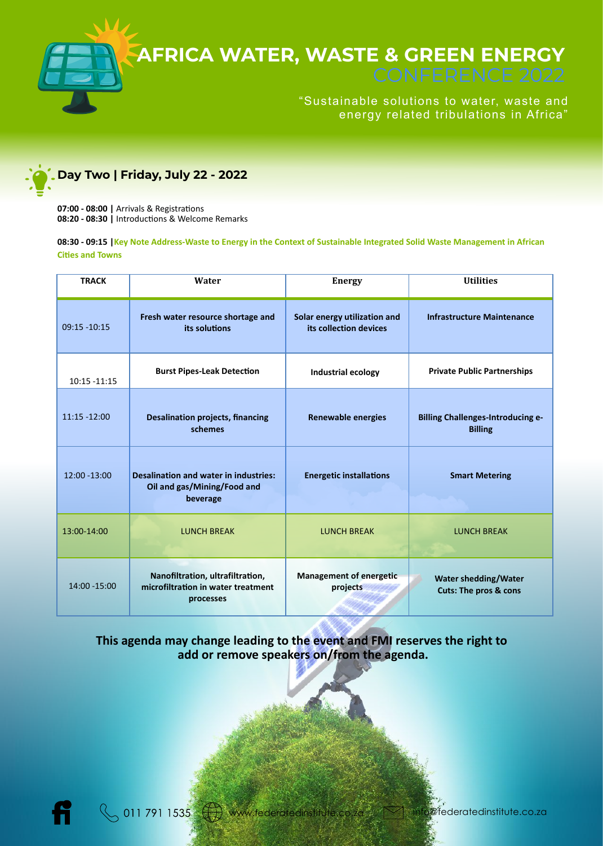



### **Day Two | Friday, July 22 - 2022**

**07:00 - 08:00 | Arrivals & Registrations** 08:20 - 08:30 | Introductions & Welcome Remarks

**08:30 - 09:15 |Key Note Address-Waste to Energy in the Context of Sustainable Integrated Solid Waste Management in African Ci�es and Towns**

| <b>TRACK</b>    | Water                                                                                   | <b>Energy</b>                                          | <b>Utilities</b>                                           |  |
|-----------------|-----------------------------------------------------------------------------------------|--------------------------------------------------------|------------------------------------------------------------|--|
| $09:15 - 10:15$ | Fresh water resource shortage and<br>its solutions                                      | Solar energy utilization and<br>its collection devices | <b>Infrastructure Maintenance</b>                          |  |
| 10:15 -11:15    | <b>Burst Pipes-Leak Detection</b>                                                       | Industrial ecology                                     | <b>Private Public Partnerships</b>                         |  |
| $11:15 - 12:00$ | <b>Desalination projects, financing</b><br>schemes                                      | <b>Renewable energies</b>                              | <b>Billing Challenges-Introducing e-</b><br><b>Billing</b> |  |
| $12:00 - 13:00$ | <b>Desalination and water in industries:</b><br>Oil and gas/Mining/Food and<br>beverage | <b>Energetic installations</b>                         | <b>Smart Metering</b>                                      |  |
| 13:00-14:00     | <b>LUNCH BREAK</b>                                                                      | <b>LUNCH BREAK</b>                                     | <b>LUNCH BREAK</b>                                         |  |
| 14:00 - 15:00   | Nanofiltration, ultrafiltration,<br>microfiltration in water treatment<br>processes     | <b>Management of energetic</b><br>projects             | Water shedding/Water<br>Cuts: The pros & cons              |  |

### **This agenda may change leading to the event and FMI reserves the right to add or remove speakers on/from the agenda.**